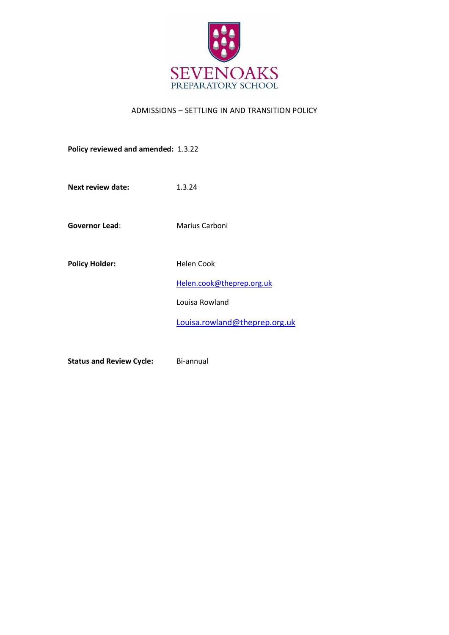

# ADMISSIONS – SETTLING IN AND TRANSITION POLICY

**Policy reviewed and amended:** 1.3.22

**Next review date:** 1.3.24

**Governor Lead:** Marius Carboni

Policy Holder: Helen Cook

[Helen.cook@theprep.org.uk](mailto:Helen.cook@theprep.org.uk)

Louisa Rowland

[Louisa.rowland@theprep.org.uk](mailto:Louisa.rowland@theprep.org.uk)

**Status and Review Cycle:** Bi-annual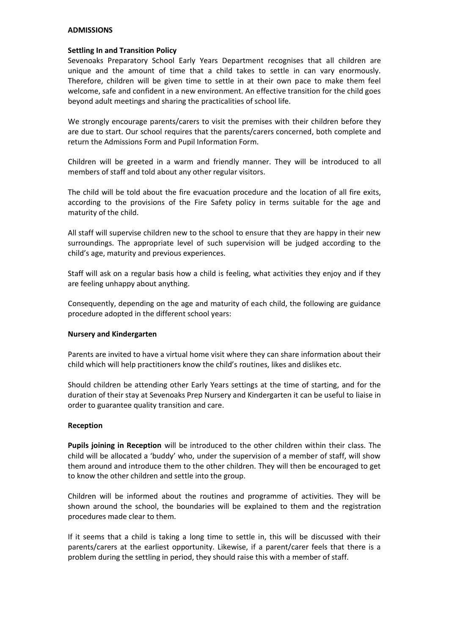### **ADMISSIONS**

# **Settling In and Transition Policy**

Sevenoaks Preparatory School Early Years Department recognises that all children are unique and the amount of time that a child takes to settle in can vary enormously. Therefore, children will be given time to settle in at their own pace to make them feel welcome, safe and confident in a new environment. An effective transition for the child goes beyond adult meetings and sharing the practicalities of school life.

We strongly encourage parents/carers to visit the premises with their children before they are due to start. Our school requires that the parents/carers concerned, both complete and return the Admissions Form and Pupil Information Form.

Children will be greeted in a warm and friendly manner. They will be introduced to all members of staff and told about any other regular visitors.

The child will be told about the fire evacuation procedure and the location of all fire exits, according to the provisions of the Fire Safety policy in terms suitable for the age and maturity of the child.

All staff will supervise children new to the school to ensure that they are happy in their new surroundings. The appropriate level of such supervision will be judged according to the child's age, maturity and previous experiences.

Staff will ask on a regular basis how a child is feeling, what activities they enjoy and if they are feeling unhappy about anything.

Consequently, depending on the age and maturity of each child, the following are guidance procedure adopted in the different school years:

#### **Nursery and Kindergarten**

Parents are invited to have a virtual home visit where they can share information about their child which will help practitioners know the child's routines, likes and dislikes etc.

Should children be attending other Early Years settings at the time of starting, and for the duration of their stay at Sevenoaks Prep Nursery and Kindergarten it can be useful to liaise in order to guarantee quality transition and care.

#### **Reception**

**Pupils joining in Reception** will be introduced to the other children within their class. The child will be allocated a 'buddy' who, under the supervision of a member of staff, will show them around and introduce them to the other children. They will then be encouraged to get to know the other children and settle into the group.

Children will be informed about the routines and programme of activities. They will be shown around the school, the boundaries will be explained to them and the registration procedures made clear to them.

If it seems that a child is taking a long time to settle in, this will be discussed with their parents/carers at the earliest opportunity. Likewise, if a parent/carer feels that there is a problem during the settling in period, they should raise this with a member of staff.